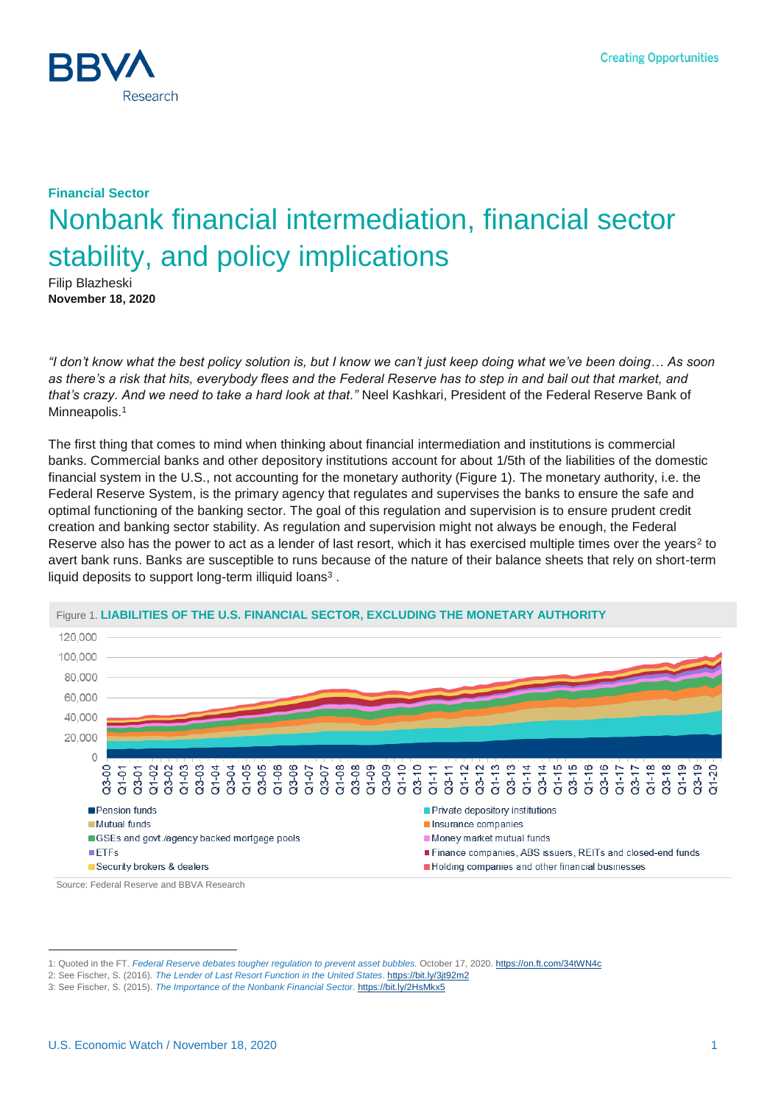

# **Financial Sector** Nonbank financial intermediation, financial sector stability, and policy implications

Filip Blazheski **November 18, 2020**

*"I don't know what the best policy solution is, but I know we can't just keep doing what we've been doing… As soon as there's a risk that hits, everybody flees and the Federal Reserve has to step in and bail out that market, and that's crazy. And we need to take a hard look at that."* Neel Kashkari, President of the Federal Reserve Bank of Minneapolis.<sup>1</sup>

The first thing that comes to mind when thinking about financial intermediation and institutions is commercial banks. Commercial banks and other depository institutions account for about 1/5th of the liabilities of the domestic financial system in the U.S., not accounting for the monetary authority (Figure 1). The monetary authority, i.e. the Federal Reserve System, is the primary agency that regulates and supervises the banks to ensure the safe and optimal functioning of the banking sector. The goal of this regulation and supervision is to ensure prudent credit creation and banking sector stability. As regulation and supervision might not always be enough, the Federal Reserve also has the power to act as a lender of last resort, which it has exercised multiple times over the years<sup>2</sup> to avert bank runs. Banks are susceptible to runs because of the nature of their balance sheets that rely on short-term liquid deposits to support long-term illiquid loans<sup>3</sup>.

| <b>I IGUIS I. EINDIEITIEU VI THE U.U. I INNIVINE UEUTUR, ENUEUDINU THE MUNETAIRT NUTHURIT I</b>                                                                                                                                                                                                                           |                                                                                                                                                                                                                             |
|---------------------------------------------------------------------------------------------------------------------------------------------------------------------------------------------------------------------------------------------------------------------------------------------------------------------------|-----------------------------------------------------------------------------------------------------------------------------------------------------------------------------------------------------------------------------|
| 120,000                                                                                                                                                                                                                                                                                                                   |                                                                                                                                                                                                                             |
| 100,000                                                                                                                                                                                                                                                                                                                   |                                                                                                                                                                                                                             |
| 80,000                                                                                                                                                                                                                                                                                                                    |                                                                                                                                                                                                                             |
| 60,000                                                                                                                                                                                                                                                                                                                    |                                                                                                                                                                                                                             |
| 40,000                                                                                                                                                                                                                                                                                                                    |                                                                                                                                                                                                                             |
| 20,000                                                                                                                                                                                                                                                                                                                    |                                                                                                                                                                                                                             |
| 0<br>S,<br>$Q1 - 06$<br>$1 - 08$<br>$Q3 - 08$<br>$Q1 - 09$<br>$Q3-09$<br>$Q1 - 03$<br>င္ပိ<br>င္ပိ<br>င္ပိ<br>$Q1 - 04$<br>$Q1 - 07$<br>$rac{1}{\alpha}$<br>o<br>$\circ$<br>$\circ$<br>$Q3-0$<br>$\overline{C}$<br>$\circ$<br>$\circ$<br>ಇ<br>ನೆ<br>င္ပြဲ<br>င္ပြဲ<br>င္ပိ<br>$\alpha$ $\alpha$ $\alpha$<br>$\sigma$<br>σ | Ņ<br>$\frac{3}{9} - 1$<br>$Q3$ -1<br>$Q3-1$<br>$Q3-1$<br>$\overline{G}$<br>푼<br>$\frac{1}{\alpha}$<br>$Q3-1$<br>$\frac{1}{6}$ $\frac{3}{2}$<br>$\overline{G}$<br>$\ddot{\mathbf{c}}$<br>ී<br>$\alpha$<br>σ<br>$\alpha$<br>σ |
| Pension funds<br><b>Mutual funds</b><br>GSEs and govt./agency backed mortgage pools<br>ETFs<br>Security brokers & dealers                                                                                                                                                                                                 | Private depository institutions<br>Insurance companies<br>Money market mutual funds<br>■ Finance companies, ABS issuers, REITs and closed-end funds<br>■ Holding companies and other financial businesses                   |

Figure 1. **LIABILITIES OF THE U.S. FINANCIAL SECTOR, EXCLUDING THE MONETARY AUTHORITY** 

Source: Federal Reserve and BBVA Research

<sup>1:</sup> Quoted in the FT*[. Federal Reserve debates tougher regulation to prevent asset bubbles.](https://on.ft.com/34tWN4c)* October 17, 2020. <https://on.ft.com/34tWN4c>

<sup>2:</sup> See Fischer, S. (2016). *[The Lender of Last Resort Function in the United States](https://bit.ly/3jt92m2)*. <https://bit.ly/3jt92m2>

<sup>3:</sup> See Fischer, S. (2015). *[The Importance of the Nonbank Financial Sector.](https://bit.ly/2HsMkx5)* <https://bit.ly/2HsMkx5>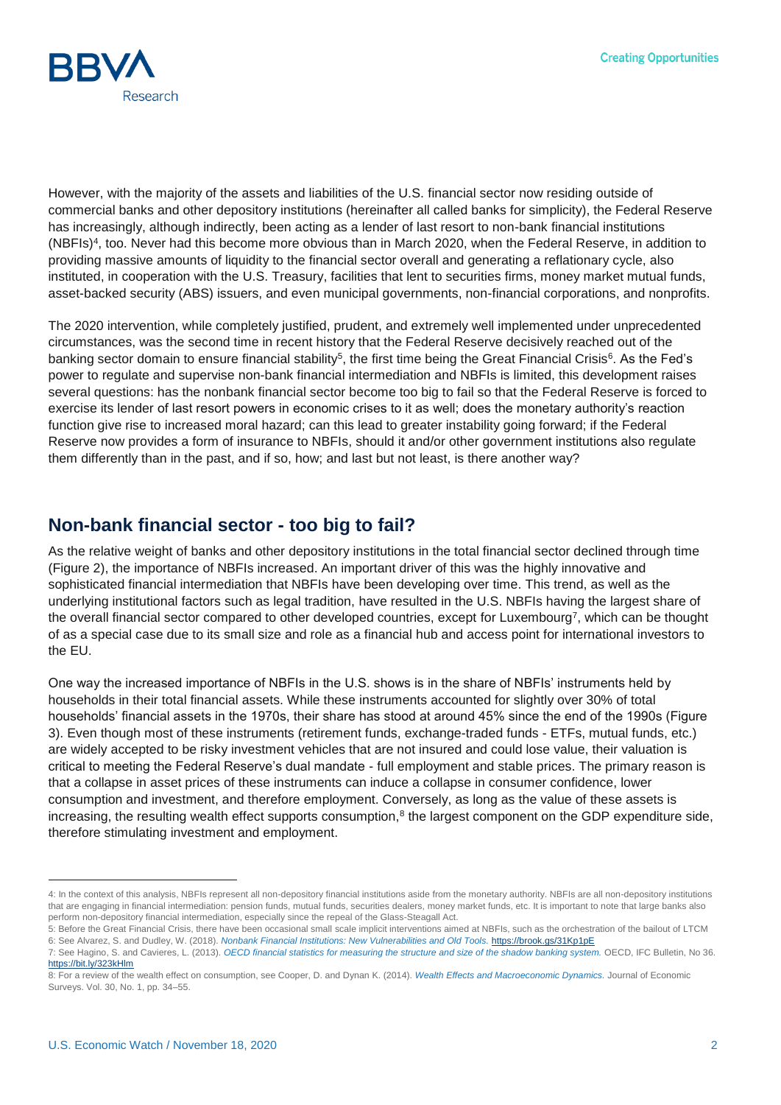

However, with the majority of the assets and liabilities of the U.S. financial sector now residing outside of commercial banks and other depository institutions (hereinafter all called banks for simplicity), the Federal Reserve has increasingly, although indirectly, been acting as a lender of last resort to non-bank financial institutions (NBFIs)<sup>4</sup>, too. Never had this become more obvious than in March 2020, when the Federal Reserve, in addition to providing massive amounts of liquidity to the financial sector overall and generating a reflationary cycle, also instituted, in cooperation with the U.S. Treasury, facilities that lent to securities firms, money market mutual funds, asset-backed security (ABS) issuers, and even municipal governments, non-financial corporations, and nonprofits.

The 2020 intervention, while completely justified, prudent, and extremely well implemented under unprecedented circumstances, was the second time in recent history that the Federal Reserve decisively reached out of the banking sector domain to ensure financial stability<sup>5</sup>, the first time being the Great Financial Crisis<sup>6</sup>. As the Fed's power to regulate and supervise non-bank financial intermediation and NBFIs is limited, this development raises several questions: has the nonbank financial sector become too big to fail so that the Federal Reserve is forced to exercise its lender of last resort powers in economic crises to it as well; does the monetary authority's reaction function give rise to increased moral hazard; can this lead to greater instability going forward; if the Federal Reserve now provides a form of insurance to NBFIs, should it and/or other government institutions also regulate them differently than in the past, and if so, how; and last but not least, is there another way?

#### **Non-bank financial sector - too big to fail?**

As the relative weight of banks and other depository institutions in the total financial sector declined through time (Figure 2), the importance of NBFIs increased. An important driver of this was the highly innovative and sophisticated financial intermediation that NBFIs have been developing over time. This trend, as well as the underlying institutional factors such as legal tradition, have resulted in the U.S. NBFIs having the largest share of the overall financial sector compared to other developed countries, except for Luxembourg<sup>7</sup>, which can be thought of as a special case due to its small size and role as a financial hub and access point for international investors to the EU.

One way the increased importance of NBFIs in the U.S. shows is in the share of NBFIs' instruments held by households in their total financial assets. While these instruments accounted for slightly over 30% of total households' financial assets in the 1970s, their share has stood at around 45% since the end of the 1990s (Figure 3). Even though most of these instruments (retirement funds, exchange-traded funds - ETFs, mutual funds, etc.) are widely accepted to be risky investment vehicles that are not insured and could lose value, their valuation is critical to meeting the Federal Reserve's dual mandate - full employment and stable prices. The primary reason is that a collapse in asset prices of these instruments can induce a collapse in consumer confidence, lower consumption and investment, and therefore employment. Conversely, as long as the value of these assets is increasing, the resulting wealth effect supports consumption,<sup>8</sup> the largest component on the GDP expenditure side, therefore stimulating investment and employment.

<sup>4:</sup> In the context of this analysis, NBFIs represent all non-depository financial institutions aside from the monetary authority. NBFIs are all non-depository institutions that are engaging in financial intermediation: pension funds, mutual funds, securities dealers, money market funds, etc. It is important to note that large banks also perform non-depository financial intermediation, especially since the repeal of the Glass-Steagall Act.

<sup>5:</sup> Before the Great Financial Crisis, there have been occasional small scale implicit interventions aimed at NBFIs, such as the orchestration of the bailout of LTCM 6: See Alvarez, S. and Dudley, W. (2018). *[Nonbank Financial Institutions: New Vulnerabilities and Old Tools.](https://brook.gs/31Kp1pE)* <https://brook.gs/31Kp1pE>

<sup>7:</sup> See Hagino, S. and Cavieres, L. (2013). *[OECD financial statistics for measuring the structure and size of the shadow banking system.](https://bit.ly/323kHlm)* OECD, IFC Bulletin, No 36. <https://bit.ly/323kHlm>

<sup>8:</sup> For a review of the wealth effect on consumption, see Cooper, D. and Dynan K. (2014). *Wealth Effects and Macroeconomic Dynamics.* Journal of Economic Surveys. Vol. 30, No. 1, pp. 34–55.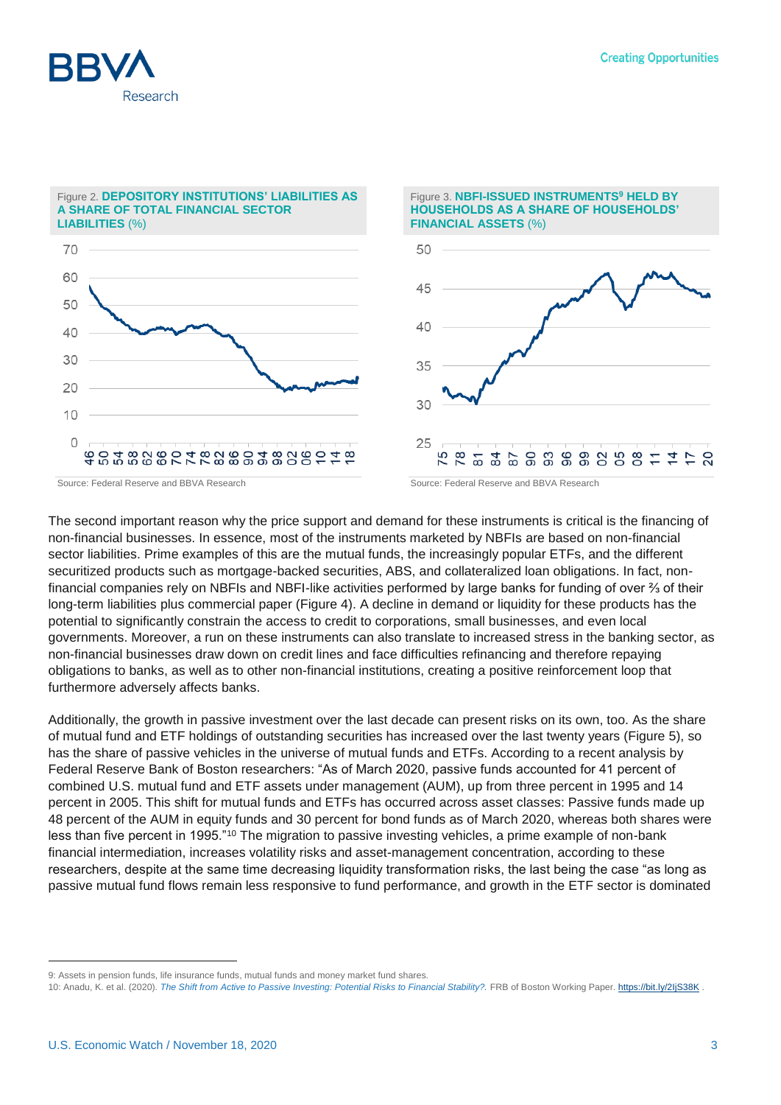



The second important reason why the price support and demand for these instruments is critical is the financing of non-financial businesses. In essence, most of the instruments marketed by NBFIs are based on non-financial sector liabilities. Prime examples of this are the mutual funds, the increasingly popular ETFs, and the different securitized products such as mortgage-backed securities, ABS, and collateralized loan obligations. In fact, nonfinancial companies rely on NBFIs and NBFI-like activities performed by large banks for funding of over ⅔ of their long-term liabilities plus commercial paper (Figure 4). A decline in demand or liquidity for these products has the potential to significantly constrain the access to credit to corporations, small businesses, and even local governments. Moreover, a run on these instruments can also translate to increased stress in the banking sector, as non-financial businesses draw down on credit lines and face difficulties refinancing and therefore repaying obligations to banks, as well as to other non-financial institutions, creating a positive reinforcement loop that furthermore adversely affects banks.

Additionally, the growth in passive investment over the last decade can present risks on its own, too. As the share of mutual fund and ETF holdings of outstanding securities has increased over the last twenty years (Figure 5), so has the share of passive vehicles in the universe of mutual funds and ETFs. According to a recent analysis by Federal Reserve Bank of Boston researchers: "As of March 2020, passive funds accounted for 41 percent of combined U.S. mutual fund and ETF assets under management (AUM), up from three percent in 1995 and 14 percent in 2005. This shift for mutual funds and ETFs has occurred across asset classes: Passive funds made up 48 percent of the AUM in equity funds and 30 percent for bond funds as of March 2020, whereas both shares were less than five percent in 1995."<sup>10</sup> The migration to passive investing vehicles, a prime example of non-bank financial intermediation, increases volatility risks and asset-management concentration, according to these researchers, despite at the same time decreasing liquidity transformation risks, the last being the case "as long as passive mutual fund flows remain less responsive to fund performance, and growth in the ETF sector is dominated

<sup>9:</sup> Assets in pension funds, life insurance funds, mutual funds and money market fund shares.

<sup>10:</sup> Anadu, K. et al. (2020). *[The Shift from Active to Passive Investing: Potential Risks to Financial Stability?.](https://bit.ly/2IjS38K)* FRB of Boston Working Paper[. https://bit.ly/2IjS38K](https://bit.ly/2IjS38K) .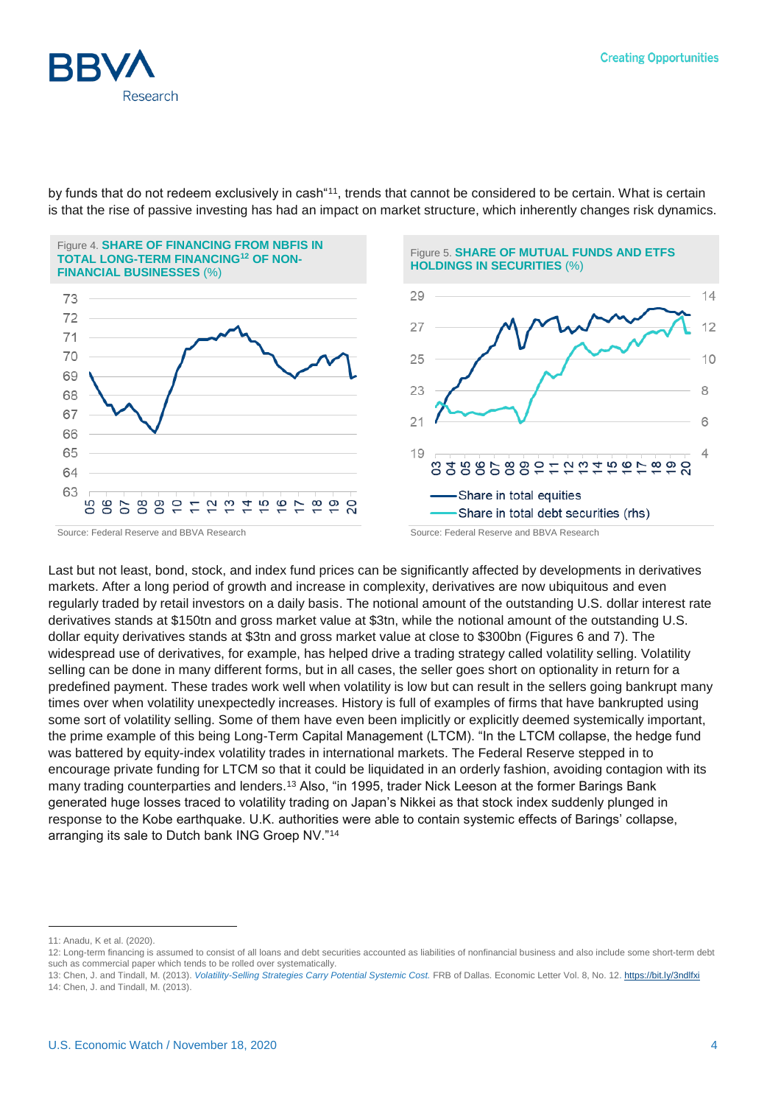



by funds that do not redeem exclusively in cash<sup>\*11</sup>, trends that cannot be considered to be certain. What is certain is that the rise of passive investing has had an impact on market structure, which inherently changes risk dynamics.

Last but not least, bond, stock, and index fund prices can be significantly affected by developments in derivatives markets. After a long period of growth and increase in complexity, derivatives are now ubiquitous and even regularly traded by retail investors on a daily basis. The notional amount of the outstanding U.S. dollar interest rate derivatives stands at \$150tn and gross market value at \$3tn, while the notional amount of the outstanding U.S. dollar equity derivatives stands at \$3tn and gross market value at close to \$300bn (Figures 6 and 7). The widespread use of derivatives, for example, has helped drive a trading strategy called volatility selling. Volatility selling can be done in many different forms, but in all cases, the seller goes short on optionality in return for a predefined payment. These trades work well when volatility is low but can result in the sellers going bankrupt many times over when volatility unexpectedly increases. History is full of examples of firms that have bankrupted using some sort of volatility selling. Some of them have even been implicitly or explicitly deemed systemically important, the prime example of this being Long-Term Capital Management (LTCM). "In the LTCM collapse, the hedge fund was battered by equity-index volatility trades in international markets. The Federal Reserve stepped in to encourage private funding for LTCM so that it could be liquidated in an orderly fashion, avoiding contagion with its many trading counterparties and lenders.<sup>13</sup> Also, "in 1995, trader Nick Leeson at the former Barings Bank generated huge losses traced to volatility trading on Japan's Nikkei as that stock index suddenly plunged in response to the Kobe earthquake. U.K. authorities were able to contain systemic effects of Barings' collapse, arranging its sale to Dutch bank ING Groep NV."<sup>14</sup>

<sup>11:</sup> Anadu, K et al. (2020).

<sup>12:</sup> Long-term financing is assumed to consist of all loans and debt securities accounted as liabilities of nonfinancial business and also include some short-term debt such as commercial paper which tends to be rolled over systematically.

<sup>13:</sup> Chen, J. and Tindall, M. (2013). *[Volatility-Selling Strategies Carry Potential Systemic Cost.](https://bit.ly/3ndlfxi)* FRB of Dallas. Economic Letter Vol. 8, No. 12. <https://bit.ly/3ndlfxi> 14: Chen, J. and Tindall, M. (2013).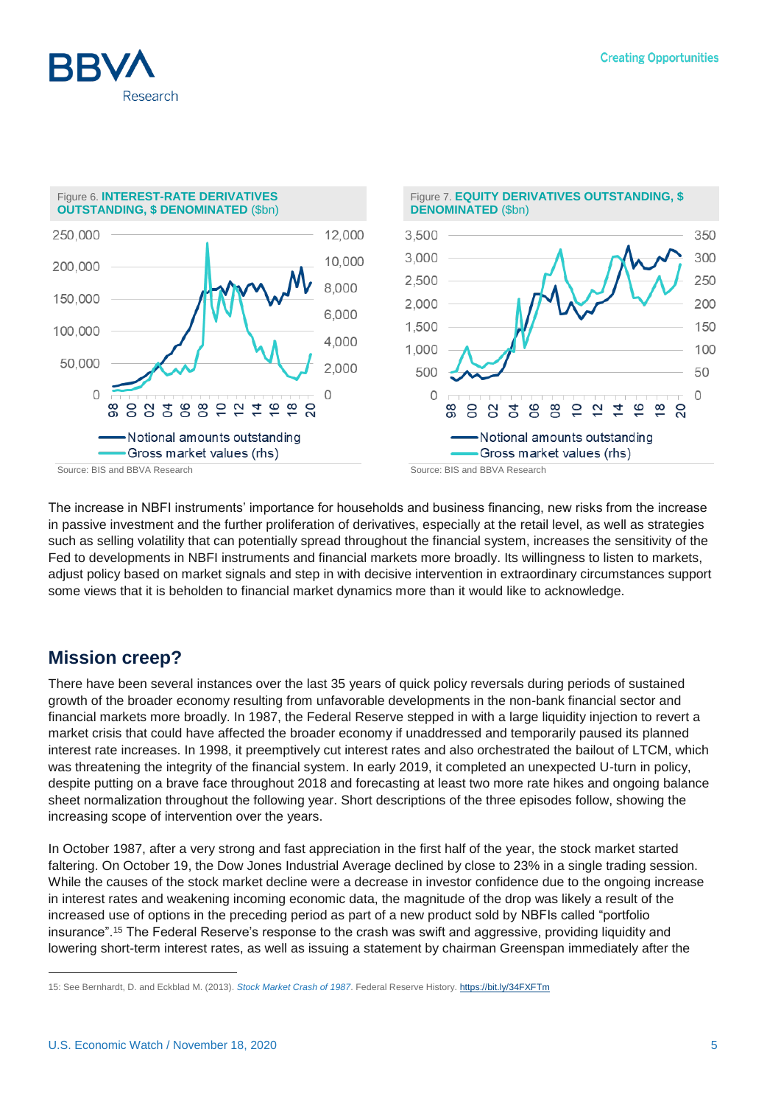



The increase in NBFI instruments' importance for households and business financing, new risks from the increase in passive investment and the further proliferation of derivatives, especially at the retail level, as well as strategies such as selling volatility that can potentially spread throughout the financial system, increases the sensitivity of the Fed to developments in NBFI instruments and financial markets more broadly. Its willingness to listen to markets, adjust policy based on market signals and step in with decisive intervention in extraordinary circumstances support some views that it is beholden to financial market dynamics more than it would like to acknowledge.

### **Mission creep?**

There have been several instances over the last 35 years of quick policy reversals during periods of sustained growth of the broader economy resulting from unfavorable developments in the non-bank financial sector and financial markets more broadly. In 1987, the Federal Reserve stepped in with a large liquidity injection to revert a market crisis that could have affected the broader economy if unaddressed and temporarily paused its planned interest rate increases. In 1998, it preemptively cut interest rates and also orchestrated the bailout of LTCM, which was threatening the integrity of the financial system. In early 2019, it completed an unexpected U-turn in policy, despite putting on a brave face throughout 2018 and forecasting at least two more rate hikes and ongoing balance sheet normalization throughout the following year. Short descriptions of the three episodes follow, showing the increasing scope of intervention over the years.

In October 1987, after a very strong and fast appreciation in the first half of the year, the stock market started faltering. On October 19, the Dow Jones Industrial Average declined by close to 23% in a single trading session. While the causes of the stock market decline were a decrease in investor confidence due to the ongoing increase in interest rates and weakening incoming economic data, the magnitude of the drop was likely a result of the increased use of options in the preceding period as part of a new product sold by NBFIs called "portfolio insurance".<sup>15</sup> The Federal Reserve's response to the crash was swift and aggressive, providing liquidity and lowering short-term interest rates, as well as issuing a statement by chairman Greenspan immediately after the

<sup>15:</sup> See Bernhardt, D. and Eckblad M. (2013). *[Stock Market Crash of 1987](https://bit.ly/34FXFTm)*. Federal Reserve History. <https://bit.ly/34FXFTm>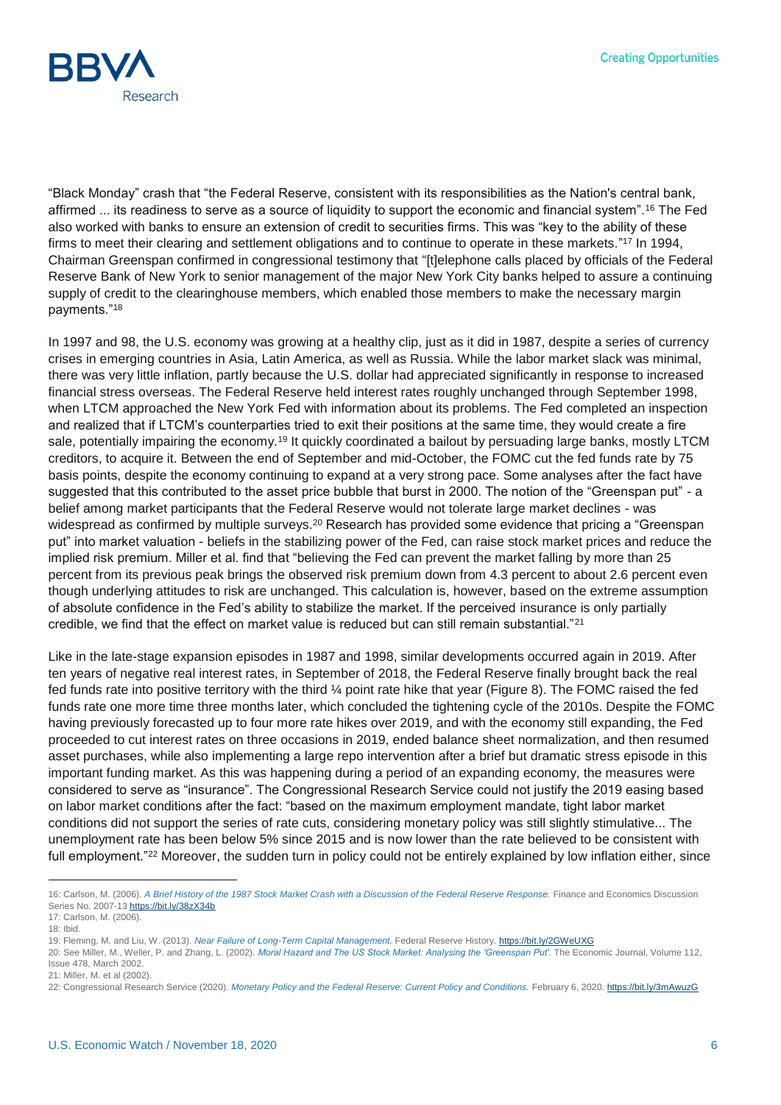

"Black Monday" crash that "the Federal Reserve, consistent with its responsibilities as the Nation's central bank, affirmed ... its readiness to serve as a source of liquidity to support the economic and financial system".<sup>16</sup> The Fed also worked with banks to ensure an extension of credit to securities firms. This was "key to the ability of these firms to meet their clearing and settlement obligations and to continue to operate in these markets."<sup>17</sup> In 1994, Chairman Greenspan confirmed in congressional testimony that "[t]elephone calls placed by officials of the Federal Reserve Bank of New York to senior management of the major New York City banks helped to assure a continuing supply of credit to the clearinghouse members, which enabled those members to make the necessary margin payments."<sup>18</sup>

In 1997 and 98, the U.S. economy was growing at a healthy clip, just as it did in 1987, despite a series of currency crises in emerging countries in Asia, Latin America, as well as Russia. While the labor market slack was minimal, there was very little inflation, partly because the U.S. dollar had appreciated significantly in response to increased financial stress overseas. The Federal Reserve held interest rates roughly unchanged through September 1998, when LTCM approached the New York Fed with information about its problems. The Fed completed an inspection and realized that if LTCM's counterparties tried to exit their positions at the same time, they would create a fire sale, potentially impairing the economy.<sup>19</sup> It quickly coordinated a bailout by persuading large banks, mostly LTCM creditors, to acquire it. Between the end of September and mid-October, the FOMC cut the fed funds rate by 75 basis points, despite the economy continuing to expand at a very strong pace. Some analyses after the fact have suggested that this contributed to the asset price bubble that burst in 2000. The notion of the "Greenspan put" - a belief among market participants that the Federal Reserve would not tolerate large market declines - was widespread as confirmed by multiple surveys.<sup>20</sup> Research has provided some evidence that pricing a "Greenspan" put" into market valuation - beliefs in the stabilizing power of the Fed, can raise stock market prices and reduce the implied risk premium. Miller et al. find that "believing the Fed can prevent the market falling by more than 25 percent from its previous peak brings the observed risk premium down from 4.3 percent to about 2.6 percent even though underlying attitudes to risk are unchanged. This calculation is, however, based on the extreme assumption of absolute confidence in the Fed's ability to stabilize the market. If the perceived insurance is only partially credible, we find that the effect on market value is reduced but can still remain substantial."<sup>21</sup>

Like in the late-stage expansion episodes in 1987 and 1998, similar developments occurred again in 2019. After ten years of negative real interest rates, in September of 2018, the Federal Reserve finally brought back the real fed funds rate into positive territory with the third ¼ point rate hike that year (Figure 8). The FOMC raised the fed funds rate one more time three months later, which concluded the tightening cycle of the 2010s. Despite the FOMC having previously forecasted up to four more rate hikes over 2019, and with the economy still expanding, the Fed proceeded to cut interest rates on three occasions in 2019, ended balance sheet normalization, and then resumed asset purchases, while also implementing a large repo intervention after a brief but dramatic stress episode in this important funding market. As this was happening during a period of an expanding economy, the measures were considered to serve as "insurance". The Congressional Research Service could not justify the 2019 easing based on labor market conditions after the fact: "based on the maximum employment mandate, tight labor market conditions did not support the series of rate cuts, considering monetary policy was still slightly stimulative... The unemployment rate has been below 5% since 2015 and is now lower than the rate believed to be consistent with full employment."<sup>22</sup> Moreover, the sudden turn in policy could not be entirely explained by low inflation either, since

<sup>16:</sup> Carlson, M. (2006). *[A Brief History of the 1987 Stock Market Crash with a Discussion of the Federal Reserve Response.](https://bit.ly/38zX34b)* Finance and Economics Discussion Series No. 2007-13 <https://bit.ly/38zX34b>

<sup>17:</sup> Carlson, M. (2006).

<sup>18:</sup> Ibid.

<sup>19:</sup> Fleming, M. and Liu, W. (2013). *[Near Failure of Long-Term Capital Management.](https://bit.ly/2GWeUXG)* Federal Reserve History. <https://bit.ly/2GWeUXG>

<sup>20:</sup> See Miller, M., Weller, P. and Zhang, L. (2002). *Moral Hazard and The US Stock Market: Analysing the 'Greenspan Put'.* The Economic Journal, Volume 112, Issue 478, March 2002.

<sup>21:</sup> Miller, M. et al (2002).

<sup>22:</sup> Congressional Research Service (2020). *[Monetary Policy and the Federal Reserve: Current Policy and Conditions.](https://bit.ly/3mAwuzG)* February 6, 2020. <https://bit.ly/3mAwuzG>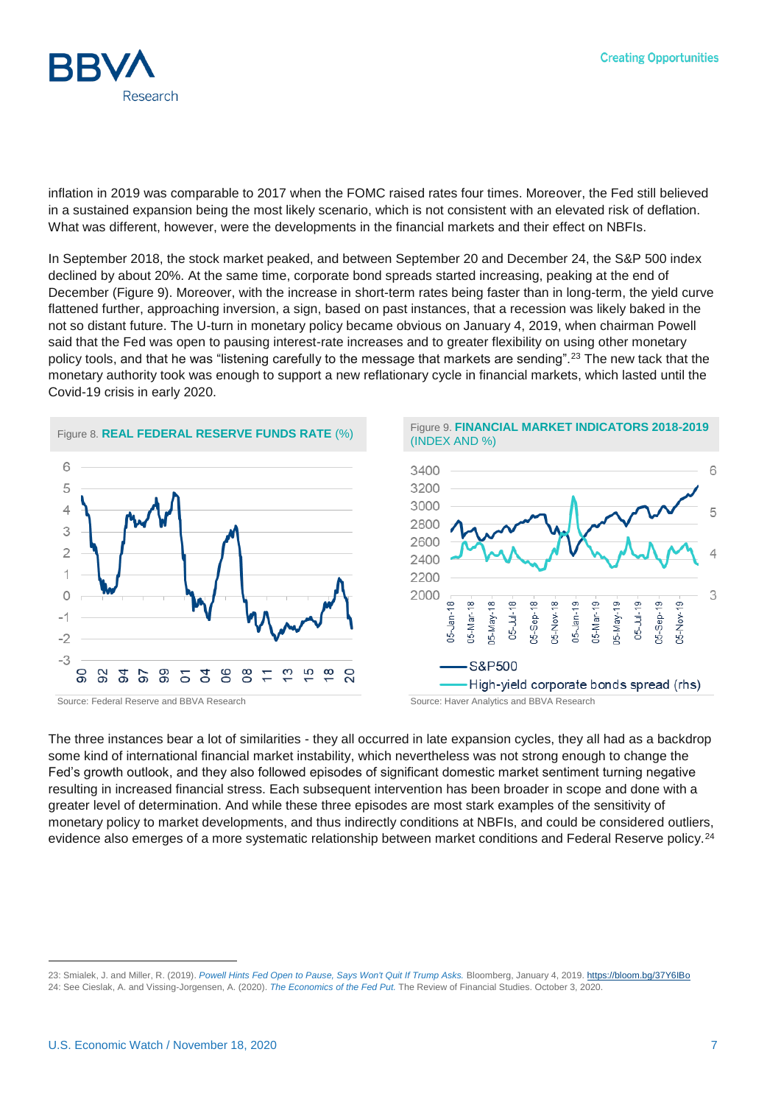

inflation in 2019 was comparable to 2017 when the FOMC raised rates four times. Moreover, the Fed still believed in a sustained expansion being the most likely scenario, which is not consistent with an elevated risk of deflation. What was different, however, were the developments in the financial markets and their effect on NBFIs.

In September 2018, the stock market peaked, and between September 20 and December 24, the S&P 500 index declined by about 20%. At the same time, corporate bond spreads started increasing, peaking at the end of December (Figure 9). Moreover, with the increase in short-term rates being faster than in long-term, the yield curve flattened further, approaching inversion, a sign, based on past instances, that a recession was likely baked in the not so distant future. The U-turn in monetary policy became obvious on January 4, 2019, when chairman Powell said that the Fed was open to pausing interest-rate increases and to greater flexibility on using other monetary policy tools, and that he was "listening carefully to the message that markets are sending".<sup>23</sup> The new tack that the monetary authority took was enough to support a new reflationary cycle in financial markets, which lasted until the Covid-19 crisis in early 2020.



The three instances bear a lot of similarities - they all occurred in late expansion cycles, they all had as a backdrop some kind of international financial market instability, which nevertheless was not strong enough to change the Fed's growth outlook, and they also followed episodes of significant domestic market sentiment turning negative resulting in increased financial stress. Each subsequent intervention has been broader in scope and done with a greater level of determination. And while these three episodes are most stark examples of the sensitivity of monetary policy to market developments, and thus indirectly conditions at NBFIs, and could be considered outliers, evidence also emerges of a more systematic relationship between market conditions and Federal Reserve policy.<sup>24</sup>

<sup>23:</sup> Smialek, J. and Miller, R. (2019). *[Powell Hints Fed Open to Pause, Says Won't Quit If Trump Asks.](https://bloom.bg/37Y6IBo)* Bloomberg, January 4, 2019. <https://bloom.bg/37Y6IBo> 24: See Cieslak, A. and Vissing-Jorgensen, A. (2020). *The Economics of the Fed Put.* The Review of Financial Studies. October 3, 2020.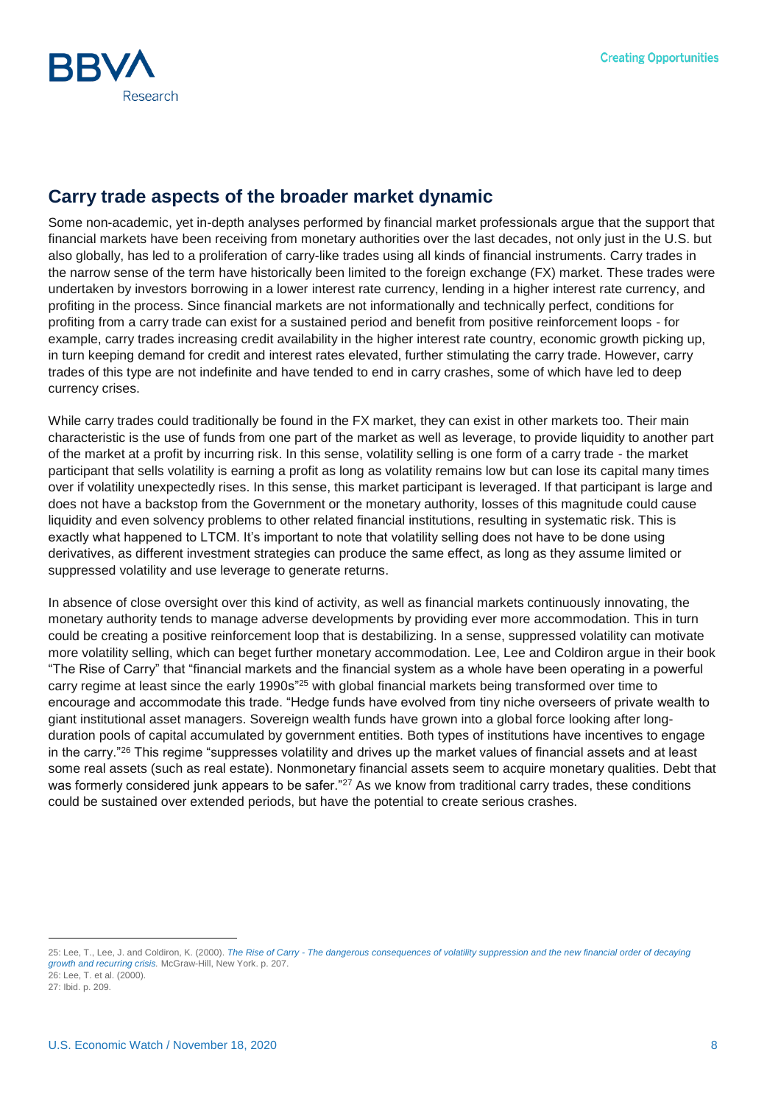## **Carry trade aspects of the broader market dynamic**

Some non-academic, yet in-depth analyses performed by financial market professionals argue that the support that financial markets have been receiving from monetary authorities over the last decades, not only just in the U.S. but also globally, has led to a proliferation of carry-like trades using all kinds of financial instruments. Carry trades in the narrow sense of the term have historically been limited to the foreign exchange (FX) market. These trades were undertaken by investors borrowing in a lower interest rate currency, lending in a higher interest rate currency, and profiting in the process. Since financial markets are not informationally and technically perfect, conditions for profiting from a carry trade can exist for a sustained period and benefit from positive reinforcement loops - for example, carry trades increasing credit availability in the higher interest rate country, economic growth picking up, in turn keeping demand for credit and interest rates elevated, further stimulating the carry trade. However, carry trades of this type are not indefinite and have tended to end in carry crashes, some of which have led to deep currency crises.

While carry trades could traditionally be found in the FX market, they can exist in other markets too. Their main characteristic is the use of funds from one part of the market as well as leverage, to provide liquidity to another part of the market at a profit by incurring risk. In this sense, volatility selling is one form of a carry trade - the market participant that sells volatility is earning a profit as long as volatility remains low but can lose its capital many times over if volatility unexpectedly rises. In this sense, this market participant is leveraged. If that participant is large and does not have a backstop from the Government or the monetary authority, losses of this magnitude could cause liquidity and even solvency problems to other related financial institutions, resulting in systematic risk. This is exactly what happened to LTCM. It's important to note that volatility selling does not have to be done using derivatives, as different investment strategies can produce the same effect, as long as they assume limited or suppressed volatility and use leverage to generate returns.

In absence of close oversight over this kind of activity, as well as financial markets continuously innovating, the monetary authority tends to manage adverse developments by providing ever more accommodation. This in turn could be creating a positive reinforcement loop that is destabilizing. In a sense, suppressed volatility can motivate more volatility selling, which can beget further monetary accommodation. Lee, Lee and Coldiron argue in their book "The Rise of Carry" that "financial markets and the financial system as a whole have been operating in a powerful carry regime at least since the early 1990s"<sup>25</sup> with global financial markets being transformed over time to encourage and accommodate this trade. "Hedge funds have evolved from tiny niche overseers of private wealth to giant institutional asset managers. Sovereign wealth funds have grown into a global force looking after longduration pools of capital accumulated by government entities. Both types of institutions have incentives to engage in the carry."<sup>26</sup> This regime "suppresses volatility and drives up the market values of financial assets and at least some real assets (such as real estate). Nonmonetary financial assets seem to acquire monetary qualities. Debt that was formerly considered junk appears to be safer."<sup>27</sup> As we know from traditional carry trades, these conditions could be sustained over extended periods, but have the potential to create serious crashes.

RR

Research

 $\overline{a}$ 

<sup>25:</sup> Lee, T., Lee, J. and Coldiron, K. (2000). *The Rise of Carry - The dangerous consequences of volatility suppression and the new financial order of decaying growth and recurring crisis.* McGraw-Hill, New York. p. 207.

<sup>26:</sup> Lee, T. et al. (2000). 27: Ibid. p. 209.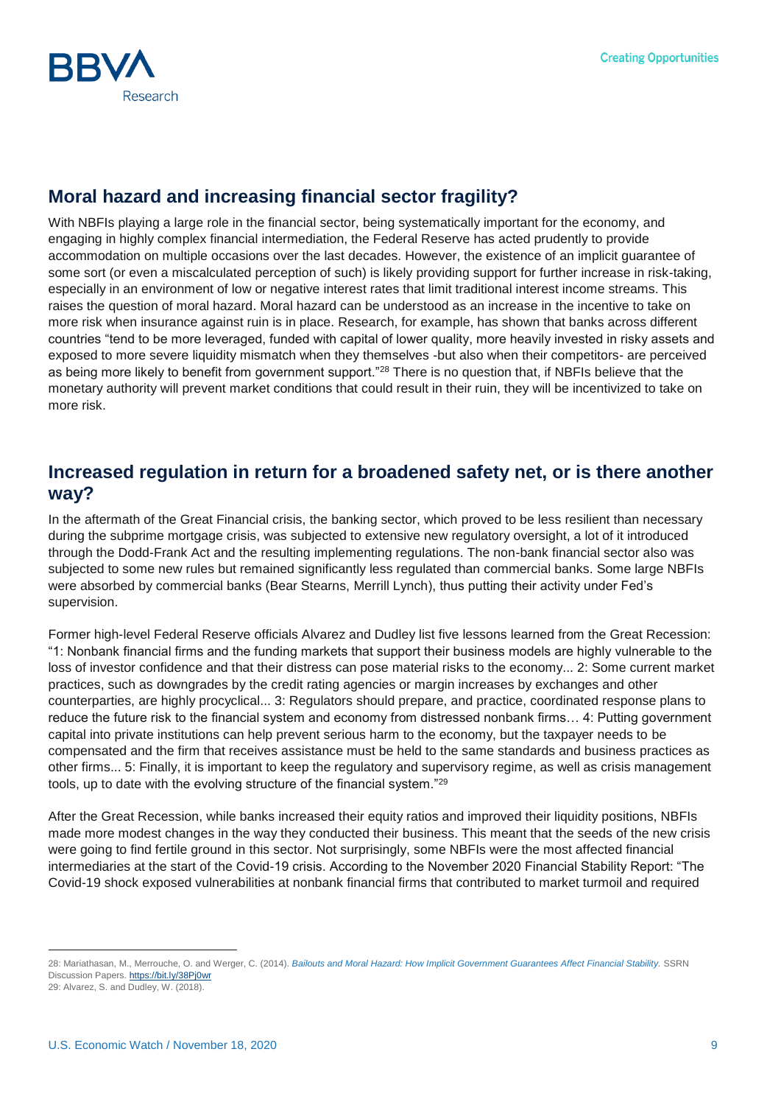

# **Moral hazard and increasing financial sector fragility?**

With NBFIs playing a large role in the financial sector, being systematically important for the economy, and engaging in highly complex financial intermediation, the Federal Reserve has acted prudently to provide accommodation on multiple occasions over the last decades. However, the existence of an implicit guarantee of some sort (or even a miscalculated perception of such) is likely providing support for further increase in risk-taking, especially in an environment of low or negative interest rates that limit traditional interest income streams. This raises the question of moral hazard. Moral hazard can be understood as an increase in the incentive to take on more risk when insurance against ruin is in place. Research, for example, has shown that banks across different countries "tend to be more leveraged, funded with capital of lower quality, more heavily invested in risky assets and exposed to more severe liquidity mismatch when they themselves -but also when their competitors- are perceived as being more likely to benefit from government support."<sup>28</sup> There is no question that, if NBFIs believe that the monetary authority will prevent market conditions that could result in their ruin, they will be incentivized to take on more risk.

#### **Increased regulation in return for a broadened safety net, or is there another way?**

In the aftermath of the Great Financial crisis, the banking sector, which proved to be less resilient than necessary during the subprime mortgage crisis, was subjected to extensive new regulatory oversight, a lot of it introduced through the Dodd-Frank Act and the resulting implementing regulations. The non-bank financial sector also was subjected to some new rules but remained significantly less regulated than commercial banks. Some large NBFIs were absorbed by commercial banks (Bear Stearns, Merrill Lynch), thus putting their activity under Fed's supervision.

Former high-level Federal Reserve officials Alvarez and Dudley list five lessons learned from the Great Recession: "1: Nonbank financial firms and the funding markets that support their business models are highly vulnerable to the loss of investor confidence and that their distress can pose material risks to the economy... 2: Some current market practices, such as downgrades by the credit rating agencies or margin increases by exchanges and other counterparties, are highly procyclical... 3: Regulators should prepare, and practice, coordinated response plans to reduce the future risk to the financial system and economy from distressed nonbank firms… 4: Putting government capital into private institutions can help prevent serious harm to the economy, but the taxpayer needs to be compensated and the firm that receives assistance must be held to the same standards and business practices as other firms... 5: Finally, it is important to keep the regulatory and supervisory regime, as well as crisis management tools, up to date with the evolving structure of the financial system."<sup>29</sup>

After the Great Recession, while banks increased their equity ratios and improved their liquidity positions, NBFIs made more modest changes in the way they conducted their business. This meant that the seeds of the new crisis were going to find fertile ground in this sector. Not surprisingly, some NBFIs were the most affected financial intermediaries at the start of the Covid-19 crisis. According to the November 2020 Financial Stability Report: "The Covid-19 shock exposed vulnerabilities at nonbank financial firms that contributed to market turmoil and required

<sup>28:</sup> Mariathasan, M., Merrouche, O. and Werger, C. (2014). *[Bailouts and Moral Hazard: How Implicit Government Guarantees Affect Financial Stability.](https://bit.ly/38Pj0wr)* SSRN Discussion Papers. <https://bit.ly/38Pj0wr> 29: Alvarez, S. and Dudley, W. (2018).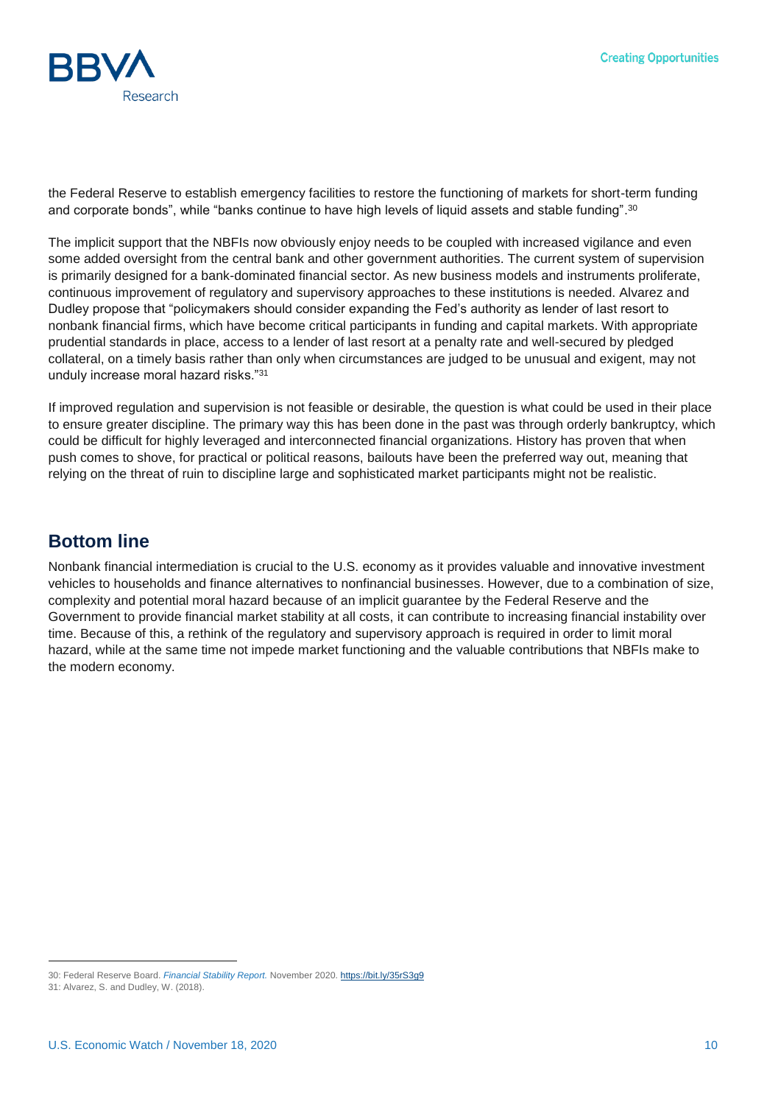the Federal Reserve to establish emergency facilities to restore the functioning of markets for short-term funding and corporate bonds", while "banks continue to have high levels of liquid assets and stable funding". 30

The implicit support that the NBFIs now obviously enjoy needs to be coupled with increased vigilance and even some added oversight from the central bank and other government authorities. The current system of supervision is primarily designed for a bank-dominated financial sector. As new business models and instruments proliferate, continuous improvement of regulatory and supervisory approaches to these institutions is needed. Alvarez and Dudley propose that "policymakers should consider expanding the Fed's authority as lender of last resort to nonbank financial firms, which have become critical participants in funding and capital markets. With appropriate prudential standards in place, access to a lender of last resort at a penalty rate and well-secured by pledged collateral, on a timely basis rather than only when circumstances are judged to be unusual and exigent, may not unduly increase moral hazard risks."<sup>31</sup>

If improved regulation and supervision is not feasible or desirable, the question is what could be used in their place to ensure greater discipline. The primary way this has been done in the past was through orderly bankruptcy, which could be difficult for highly leveraged and interconnected financial organizations. History has proven that when push comes to shove, for practical or political reasons, bailouts have been the preferred way out, meaning that relying on the threat of ruin to discipline large and sophisticated market participants might not be realistic.

## **Bottom line**

Nonbank financial intermediation is crucial to the U.S. economy as it provides valuable and innovative investment vehicles to households and finance alternatives to nonfinancial businesses. However, due to a combination of size, complexity and potential moral hazard because of an implicit guarantee by the Federal Reserve and the Government to provide financial market stability at all costs, it can contribute to increasing financial instability over time. Because of this, a rethink of the regulatory and supervisory approach is required in order to limit moral hazard, while at the same time not impede market functioning and the valuable contributions that NBFIs make to the modern economy.

<sup>30:</sup> Federal Reserve Board. *[Financial Stability Report.](https://bit.ly/35rS3g9)* November 2020. <https://bit.ly/35rS3g9>

<sup>31:</sup> Alvarez, S. and Dudley, W. (2018).